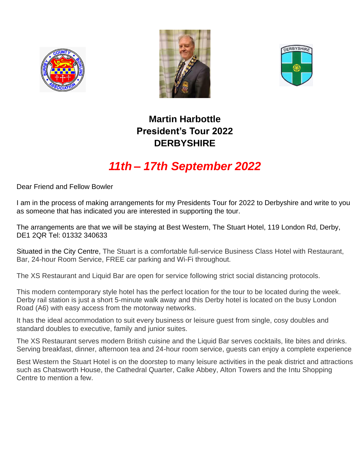





## **Martin Harbottle President's Tour 2022 DERBYSHIRE**

# *11th – 17th September 2022*

Dear Friend and Fellow Bowler

I am in the process of making arrangements for my Presidents Tour for 2022 to Derbyshire and write to you as someone that has indicated you are interested in supporting the tour.

The arrangements are that we will be staying at Best Western, The Stuart Hotel, 119 London Rd, Derby, DE1 2QR Tel: 01332 340633

Situated in the City Centre, The Stuart is a comfortable full-service Business Class Hotel with Restaurant, Bar, 24-hour Room Service, FREE car parking and Wi-Fi throughout.

The XS Restaurant and Liquid Bar are open for service following strict social distancing protocols.

This modern contemporary style hotel has the perfect location for the tour to be located during the week. Derby rail station is just a short 5-minute walk away and this Derby hotel is located on the busy London Road (A6) with easy access from the motorway networks.

It has the ideal accommodation to suit every business or leisure guest from single, cosy doubles and standard doubles to executive, family and junior suites.

The XS Restaurant serves modern British cuisine and the Liquid Bar serves cocktails, lite bites and drinks. Serving breakfast, dinner, afternoon tea and 24-hour room service, guests can enjoy a complete experience

Best Western the Stuart Hotel is on the doorstep to many leisure activities in the peak district and attractions such as Chatsworth House, the Cathedral Quarter, Calke Abbey, Alton Towers and the Intu Shopping Centre to mention a few.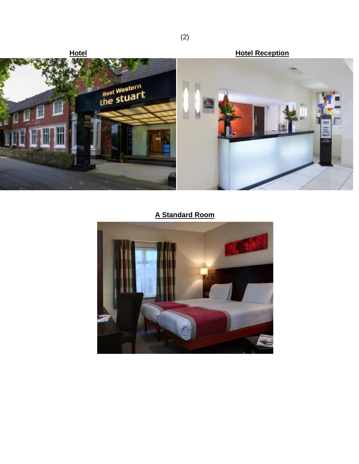

### **A Standard Room**



(2)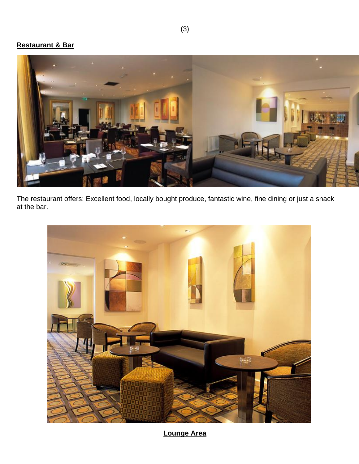#### **Restaurant & Bar**



The restaurant offers: Excellent food, locally bought produce, fantastic wine, fine dining or just a snack at the bar.



**Lounge Area**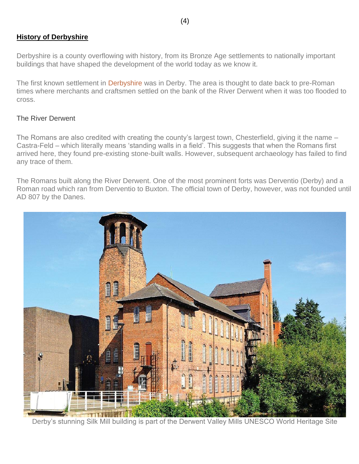#### **History of Derbyshire**

Derbyshire is a county overflowing with history, from its Bronze Age settlements to nationally important buildings that have shaped the development of the world today as we know it.

The first known settlement in [Derbyshire](http://kingfishervisitorguides.com/derbyshire-peak-district/) was in Derby. The area is thought to date back to pre-Roman times where merchants and craftsmen settled on the bank of the River Derwent when it was too flooded to cross.

#### The River Derwent

The Romans are also credited with creating the county's largest town, Chesterfield, giving it the name – Castra-Feld – which literally means 'standing walls in a field'. This suggests that when the Romans first arrived here, they found pre-existing stone-built walls. However, subsequent archaeology has failed to find any trace of them.

The Romans built along the River Derwent. One of the most prominent forts was Derventio (Derby) and a Roman road which ran from Derventio to Buxton. The official town of Derby, however, was not founded until AD 807 by the Danes.



Derby's stunning Silk Mill building is part of the Derwent Valley Mills UNESCO World Heritage Site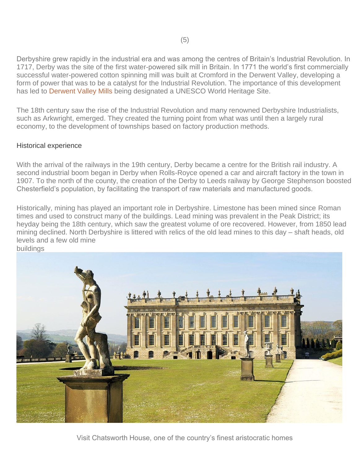Derbyshire grew rapidly in the industrial era and was among the centres of Britain's Industrial Revolution. In 1717, Derby was the site of the first water-powered silk mill in Britain. In 1771 the world's first commercially successful water-powered cotton spinning mill was built at Cromford in the Derwent Valley, developing a form of power that was to be a catalyst for the Industrial Revolution. The importance of this development has led to [Derwent Valley Mills](http://www.derwentvalleymills.org/) being designated a UNESCO World Heritage Site.

The 18th century saw the rise of the Industrial Revolution and many renowned Derbyshire Industrialists, such as Arkwright, emerged. They created the turning point from what was until then a largely rural economy, to the development of townships based on factory production methods.

#### Historical experience

With the arrival of the railways in the 19th century, Derby became a centre for the British rail industry. A second industrial boom began in Derby when Rolls-Royce opened a car and aircraft factory in the town in 1907. To the north of the county, the creation of the Derby to Leeds railway by George Stephenson boosted Chesterfield's population, by facilitating the transport of raw materials and manufactured goods.

Historically, mining has played an important role in Derbyshire. Limestone has been mined since Roman times and used to construct many of the buildings. Lead mining was prevalent in the Peak District; its heyday being the 18th century, which saw the greatest volume of ore recovered. However, from 1850 lead mining declined. North Derbyshire is littered with relics of the old lead mines to this day – shaft heads, old levels and a few old mine



Visit Chatsworth House, one of the country's finest aristocratic homes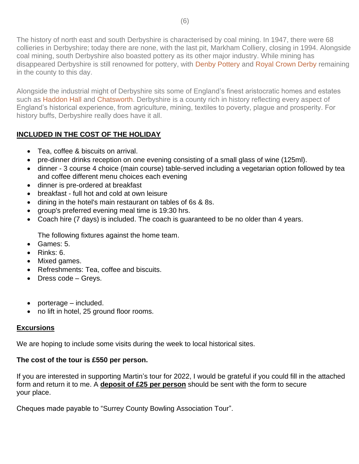The history of north east and south Derbyshire is characterised by coal mining. In 1947, there were 68 collieries in Derbyshire; today there are none, with the last pit, Markham Colliery, closing in 1994. Alongside coal mining, south Derbyshire also boasted pottery as its other major industry. While mining has disappeared Derbyshire is still renowned for pottery, with [Denby Pottery](https://www.denbypottery.com/) and [Royal Crown Derby](https://www.royalcrownderby.co.uk/) remaining in the county to this day.

Alongside the industrial might of Derbyshire sits some of England's finest aristocratic homes and estates such as [Haddon Hall](https://www.haddonhall.co.uk/) and [Chatsworth.](https://www.chatsworth.org/) Derbyshire is a county rich in history reflecting every aspect of England's historical experience, from agriculture, mining, textiles to poverty, plague and prosperity. For history buffs, Derbyshire really does have it all.

#### **INCLUDED IN THE COST OF THE HOLIDAY**

- Tea, coffee & biscuits on arrival.
- pre-dinner drinks reception on one evening consisting of a small glass of wine (125ml).
- dinner 3 course 4 choice (main course) table-served including a vegetarian option followed by tea and coffee different menu choices each evening
- dinner is pre-ordered at breakfast
- breakfast full hot and cold at own leisure
- dining in the hotel's main restaurant on tables of 6s & 8s.
- group's preferred evening meal time is 19:30 hrs.
- Coach hire (7 days) is included. The coach is guaranteed to be no older than 4 years.

The following fixtures against the home team.

- Games: 5.
- Rinks: 6.
- Mixed games.
- Refreshments: Tea, coffee and biscuits.
- Dress code Greys.
- porterage included.
- no lift in hotel, 25 ground floor rooms.

#### **Excursions**

We are hoping to include some visits during the week to local historical sites.

#### **The cost of the tour is £550 per person.**

If you are interested in supporting Martin's tour for 2022, I would be grateful if you could fill in the attached form and return it to me. A **deposit of £25 per person** should be sent with the form to secure your place.

Cheques made payable to "Surrey County Bowling Association Tour".